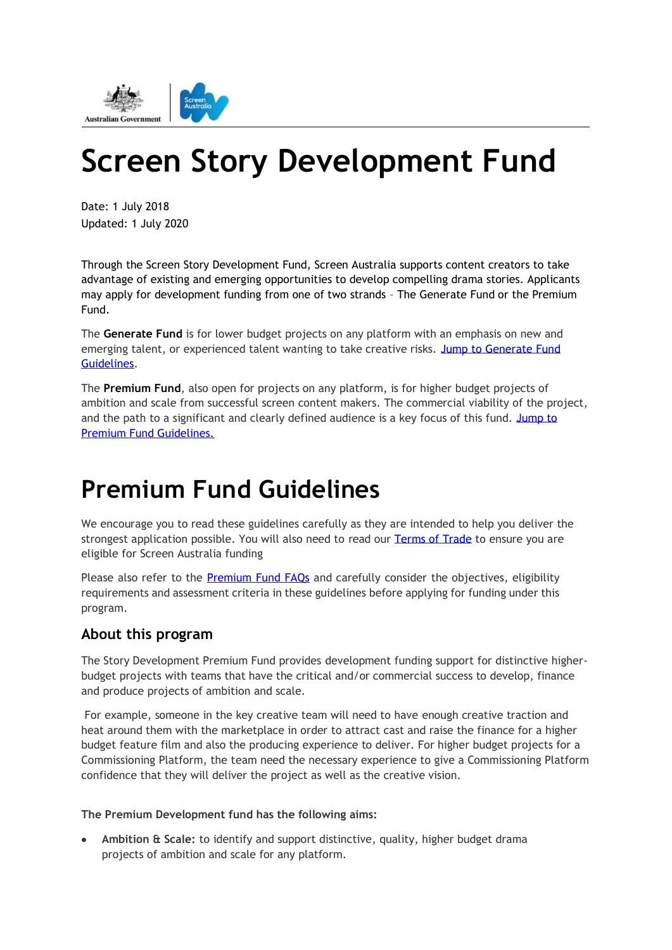

# **Screen Story Development Fund**

Date: 1 July 2018 Updated: 1 July 2020

Through the Screen Story Development Fund, Screen Australia supports content creators to take advantage of existing and emerging opportunities to develop compelling drama stories. Applicants may apply for development funding from one of two strands – The Generate Fund or the Premium Fund.

The **Generate Fund** is for lower budget projects on any platform with an emphasis on new and emerging talent, or experienced talent wanting to take creative risks. [Jump to Generate Fund](#page-6-0)  [Guidelines.](#page-6-0)

The **Premium Fund**, also open for projects on any platform, is for higher budget projects of ambition and scale from successful screen content makers. The commercial viability of the project, and the path to a significant and clearly defined audience is a key focus of this fund. Jump to [Premium Fund Guidelines.](#page-0-0)

## <span id="page-0-0"></span>**Premium Fund Guidelines**

We encourage you to read these guidelines carefully as they are intended to help you deliver the strongest application possible. You will also need to read our [Terms of Trade](https://www.screenaustralia.gov.au/getmedia/2e7f34c9-1f1c-420e-a8d6-66e984ea3c92/Terms-of-trade) to ensure you are eligible for Screen Australia funding

Please also refer to the **Premium Fund FAQs** and carefully consider the objectives, eligibility requirements and assessment criteria in these guidelines before applying for funding under this program.

## **About this program**

The Story Development Premium Fund provides development funding support for distinctive higherbudget projects with teams that have the critical and/or commercial success to develop, finance and produce projects of ambition and scale.

For example, someone in the key creative team will need to have enough creative traction and heat around them with the marketplace in order to attract cast and raise the finance for a higher budget feature film and also the producing experience to deliver. For higher budget projects for a Commissioning Platform, the team need the necessary experience to give a Commissioning Platform confidence that they will deliver the project as well as the creative vision.

#### **The Premium Development fund has the following aims:**

• **Ambition & Scale:** to identify and support distinctive, quality, higher budget drama projects of ambition and scale for any platform.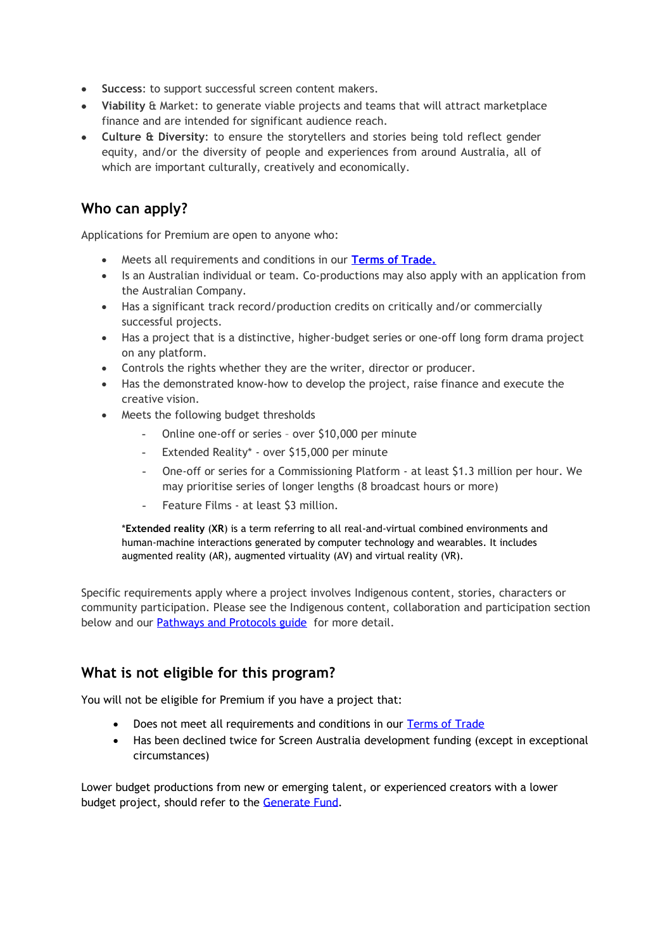- **Success**: to support successful screen content makers.
- **Viability** & Market: to generate viable projects and teams that will attract marketplace finance and are intended for significant audience reach.
- **Culture & Diversity**: to ensure the storytellers and stories being told reflect gender equity, and/or the diversity of people and experiences from around Australia, all of which are important culturally, creatively and economically.

## **Who can apply?**

Applications for Premium are open to anyone who:

- Meets all requirements and conditions in our **[Terms of Trade.](https://www.screenaustralia.gov.au/getmedia/2e7f34c9-1f1c-420e-a8d6-66e984ea3c92/Terms-of-trade)**
- Is an Australian individual or team. Co-productions may also apply with an application from the Australian Company.
- Has a significant track record/production credits on critically and/or commercially successful projects.
- Has a project that is a distinctive, higher-budget series or one-off long form drama project on any platform.
- Controls the rights whether they are the writer, director or producer.
- Has the demonstrated know-how to develop the project, raise finance and execute the creative vision.
- Meets the following budget thresholds
	- Online one-off or series over \$10,000 per minute
	- Extended Reality\* over \$15,000 per minute
	- One-off or series for a Commissioning Platform at least \$1.3 million per hour. We may prioritise series of longer lengths (8 broadcast hours or more)
	- Feature Films at least \$3 million.

\***Extended reality** (**XR**) is a term referring to all real-and-virtual combined environments and human-machine interactions generated by computer technology and wearables. It includes augmented reality (AR), augmented virtuality (AV) and virtual reality (VR).

Specific requirements apply where a project involves Indigenous content, stories, characters or community participation. Please see the Indigenous content, collaboration and participation section below and our **Pathways and Protocols guide** for more detail.

## **What is not eligible for this program?**

You will not be eligible for Premium if you have a project that:

- Does not meet all requirements and conditions in our [Terms of Trade](https://www.screenaustralia.gov.au/getmedia/2e7f34c9-1f1c-420e-a8d6-66e984ea3c92/Terms-of-trade)
- Has been declined twice for Screen Australia development funding (except in exceptional circumstances)

Lower budget productions from new or emerging talent, or experienced creators with a lower budget project, should refer to the [Generate Fund.](#page-6-0)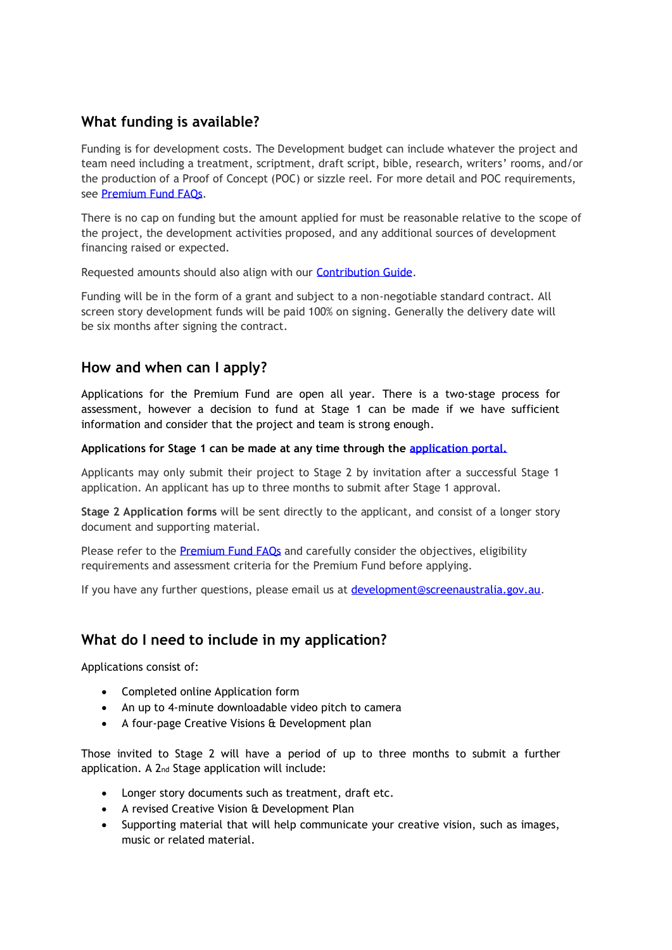## **What funding is available?**

Funding is for development costs. The Development budget can include whatever the project and team need including a treatment, scriptment, draft script, bible, research, writers' rooms, and/or the production of a Proof of Concept (POC) or sizzle reel. For more detail and POC requirements, see [Premium Fund FAQs.](https://www.screenaustralia.gov.au/sacms/media/samedialibrary/Funding%20and%20Support/Documents/Program%20guidelines/Premium-FAQs.pdf)

There is no cap on funding but the amount applied for must be reasonable relative to the scope of the project, the development activities proposed, and any additional sources of development financing raised or expected.

Requested amounts should also align with our [Contribution Guide.](https://www.screenaustralia.gov.au/sacms/media/samedialibrary/Funding%20and%20Support/Documents/Program%20guidelines/Premium-FAQs.pdf)

Funding will be in the form of a grant and subject to a non-negotiable standard contract. All screen story development funds will be paid 100% on signing. Generally the delivery date will be six months after signing the contract.

## **How and when can I apply?**

Applications for the Premium Fund are open all year. There is a two-stage process for assessment, however a decision to fund at Stage 1 can be made if we have sufficient information and consider that the project and team is strong enough.

#### **Applications for Stage 1 can be made at any time through the [application portal.](https://screenaustraliafunding.smartygrants.com.au/)**

Applicants may only submit their project to Stage 2 by invitation after a successful Stage 1 application. An applicant has up to three months to submit after Stage 1 approval.

**Stage 2 Application forms** will be sent directly to the applicant, and consist of a longer story document and supporting material.

Please refer to the Premium Fund FAOs and carefully consider the objectives, eligibility requirements and assessment criteria for the Premium Fund before applying.

If you have any further questions, please email us at [development@screenaustralia.gov.au.](mailto:Development@screenaustralia.gov.au)

## **What do I need to include in my application?**

Applications consist of:

- Completed online Application form
- An up to 4-minute downloadable video pitch to camera
- A four-page Creative Visions & Development plan

Those invited to Stage 2 will have a period of up to three months to submit a further application. A 2nd Stage application will include:

- Longer story documents such as treatment, draft etc.
- A revised Creative Vision & Development Plan
- Supporting material that will help communicate your creative vision, such as images, music or related material.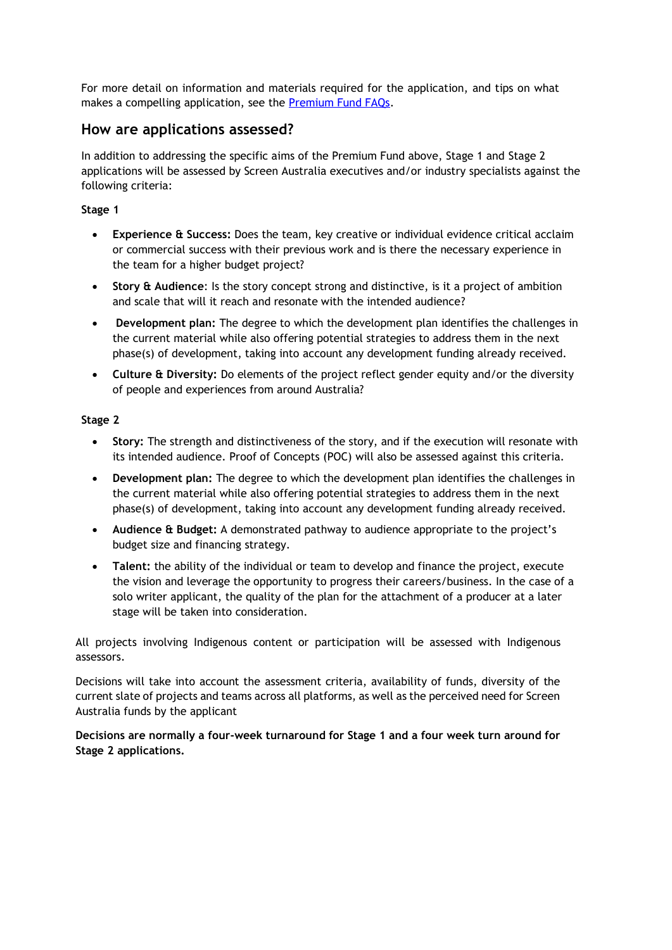For more detail on information and materials required for the application, and tips on what makes a compelling application, see the [Premium Fund FAQs.](https://www.screenaustralia.gov.au/sacms/media/samedialibrary/Funding%20and%20Support/Documents/Program%20guidelines/Premium-FAQs.pdf)

### **How are applications assessed?**

In addition to addressing the specific aims of the Premium Fund above, Stage 1 and Stage 2 applications will be assessed by Screen Australia executives and/or industry specialists against the following criteria:

#### **Stage 1**

- **Experience & Success:** Does the team, key creative or individual evidence critical acclaim or commercial success with their previous work and is there the necessary experience in the team for a higher budget project?
- **Story & Audience**: Is the story concept strong and distinctive, is it a project of ambition and scale that will it reach and resonate with the intended audience?
- **Development plan:** The degree to which the development plan identifies the challenges in the current material while also offering potential strategies to address them in the next phase(s) of development, taking into account any development funding already received.
- **Culture & Diversity:** Do elements of the project reflect gender equity and/or the diversity of people and experiences from around Australia?

#### **Stage 2**

- **Story:** The strength and distinctiveness of the story, and if the execution will resonate with its intended audience. Proof of Concepts (POC) will also be assessed against this criteria.
- **Development plan:** The degree to which the development plan identifies the challenges in the current material while also offering potential strategies to address them in the next phase(s) of development, taking into account any development funding already received.
- **Audience & Budget:** A demonstrated pathway to audience appropriate to the project's budget size and financing strategy.
- **Talent:** the ability of the individual or team to develop and finance the project, execute the vision and leverage the opportunity to progress their careers/business. In the case of a solo writer applicant, the quality of the plan for the attachment of a producer at a later stage will be taken into consideration.

All projects involving Indigenous content or participation will be assessed with Indigenous assessors.

Decisions will take into account the assessment criteria, availability of funds, diversity of the current slate of projects and teams across all platforms, as well as the perceived need for Screen Australia funds by the applicant

**Decisions are normally a four-week turnaround for Stage 1 and a four week turn around for Stage 2 applications.**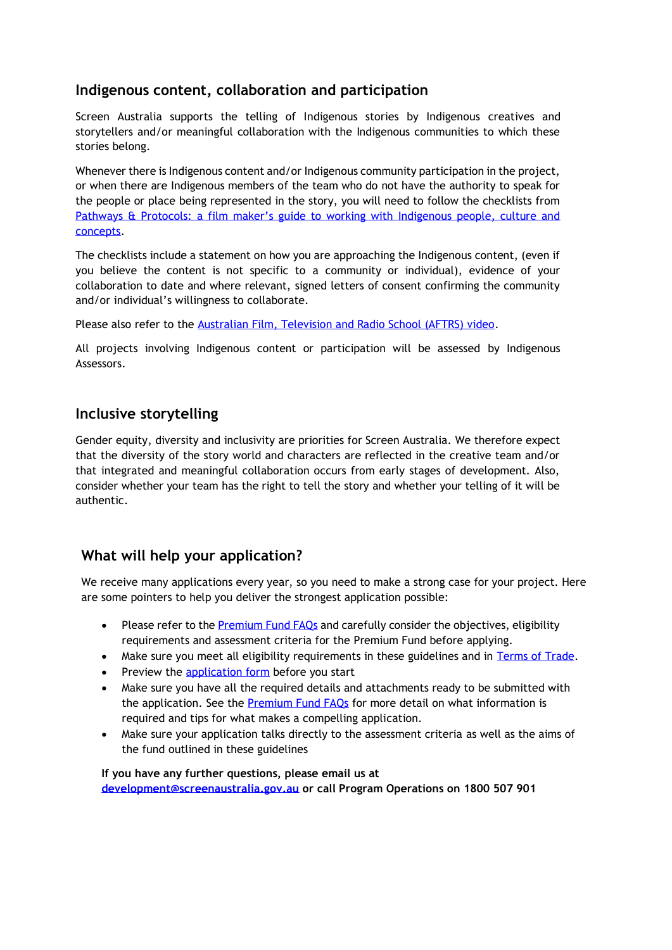## **Indigenous content, collaboration and participation**

Screen Australia supports the telling of Indigenous stories by Indigenous creatives and storytellers and/or meaningful collaboration with the Indigenous communities to which these stories belong.

Whenever there is Indigenous content and/or Indigenous community participation in the project, or when there are Indigenous members of the team who do not have the authority to speak for the people or place being represented in the story, you will need to follow the checklists from Pathways & Protocols: a film maker's guide to working with Indigenous people, culture and [concepts.](https://www.screenaustralia.gov.au/getmedia/16e5ade3-bbca-4db2-a433-94bcd4c45434/Pathways-and-Protocols.pdf)

The checklists include a statement on how you are approaching the Indigenous content, (even if you believe the content is not specific to a community or individual), evidence of your collaboration to date and where relevant, signed letters of consent confirming the community and/or individual's willingness to collaborate.

Please also refer to the [Australian Film, Television and Radio School \(AFTRS\) video.](https://www.aftrs.edu.au/about/aftrs-indigenous/consultation/)

All projects involving Indigenous content or participation will be assessed by Indigenous Assessors.

## **Inclusive storytelling**

Gender equity, diversity and inclusivity are priorities for Screen Australia. We therefore expect that the diversity of the story world and characters are reflected in the creative team and/or that integrated and meaningful collaboration occurs from early stages of development. Also, consider whether your team has the right to tell the story and whether your telling of it will be authentic.

## **What will help your application?**

We receive many applications every year, so you need to make a strong case for your project. Here are some pointers to help you deliver the strongest application possible:

- Please refer to the **Premium Fund FAQs** and carefully consider the objectives, eligibility requirements and assessment criteria for the Premium Fund before applying.
- Make sure you meet all eligibility requirements in these guidelines and in [Terms of Trade.](https://www.screenaustralia.gov.au/getmedia/2e7f34c9-1f1c-420e-a8d6-66e984ea3c92/Terms-of-trade)
- Preview the [application form](https://screenaustraliafunding.smartygrants.com.au/PDS1) before you start
- Make sure you have all the required details and attachments ready to be submitted with the application. See the [Premium Fund FAQs](https://www.screenaustralia.gov.au/sacms/media/samedialibrary/Funding%20and%20Support/Documents/Program%20guidelines/Premium-FAQs.pdf) for more detail on what information is required and tips for what makes a compelling application.
- Make sure your application talks directly to the assessment criteria as well as the aims of the fund outlined in these guidelines

**If you have any further questions, please email us at [development@screenaustralia.gov.au](mailto:Development@screenaustralia.gov.au) or call Program Operations on 1800 507 901**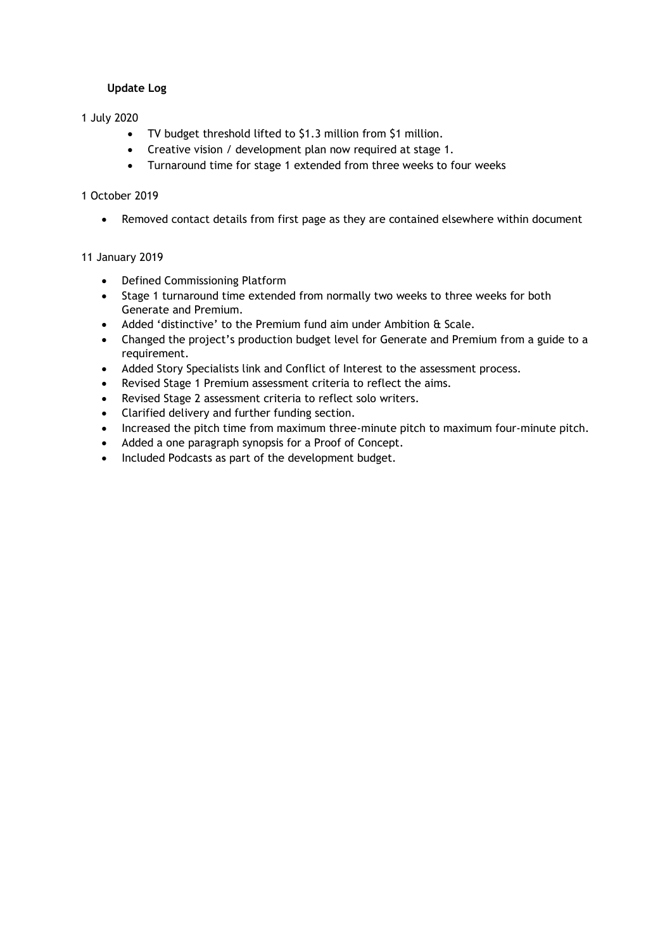#### **Update Log**

#### 1 July 2020

- TV budget threshold lifted to \$1.3 million from \$1 million.
- Creative vision / development plan now required at stage 1.
- Turnaround time for stage 1 extended from three weeks to four weeks

#### 1 October 2019

• Removed contact details from first page as they are contained elsewhere within document

#### 11 January 2019

- Defined Commissioning Platform
- Stage 1 turnaround time extended from normally two weeks to three weeks for both Generate and Premium.
- Added 'distinctive' to the Premium fund aim under Ambition & Scale.
- Changed the project's production budget level for Generate and Premium from a guide to a requirement.
- Added Story Specialists link and Conflict of Interest to the assessment process.
- Revised Stage 1 Premium assessment criteria to reflect the aims.
- Revised Stage 2 assessment criteria to reflect solo writers.
- Clarified delivery and further funding section.
- Increased the pitch time from maximum three-minute pitch to maximum four-minute pitch.
- Added a one paragraph synopsis for a Proof of Concept.
- Included Podcasts as part of the development budget.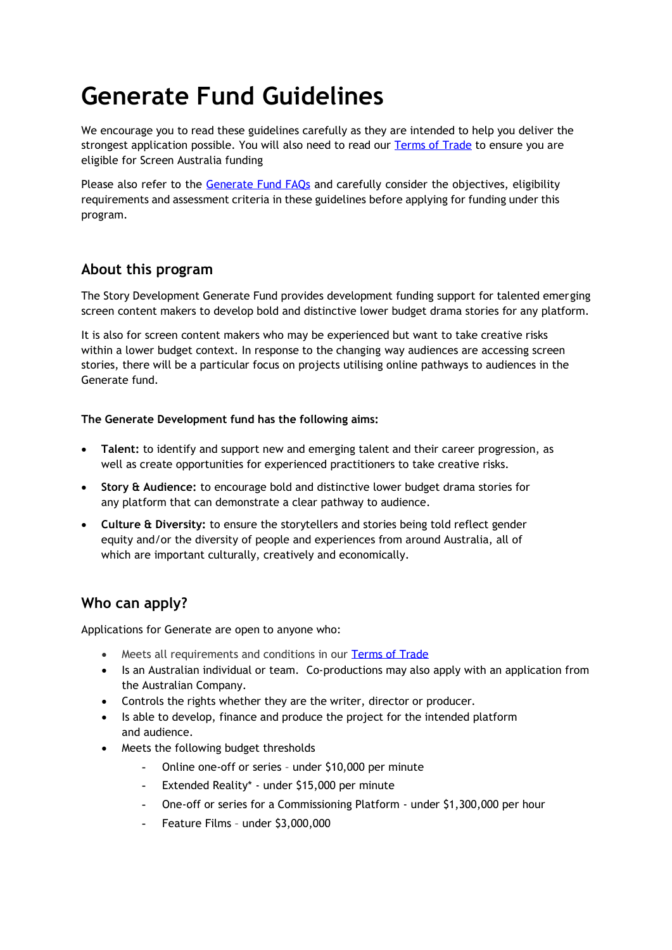## <span id="page-6-0"></span>**Generate Fund Guidelines**

We encourage you to read these guidelines carefully as they are intended to help you deliver the strongest application possible. You will also need to read our [Terms of Trade](https://www.screenaustralia.gov.au/getmedia/2e7f34c9-1f1c-420e-a8d6-66e984ea3c92/Terms-of-trade) to ensure you are eligible for Screen Australia funding

Please also refer to the [Generate Fund FAQs](https://www.screenaustralia.gov.au/getmedia/0679f450-9eda-495e-a2d3-b10df2af4534/Generate-FAQs.pdf) and carefully consider the objectives, eligibility requirements and assessment criteria in these guidelines before applying for funding under this program.

## **About this program**

The Story Development Generate Fund provides development funding support for talented emerging screen content makers to develop bold and distinctive lower budget drama stories for any platform.

It is also for screen content makers who may be experienced but want to take creative risks within a lower budget context. In response to the changing way audiences are accessing screen stories, there will be a particular focus on projects utilising online pathways to audiences in the Generate fund.

#### **The Generate Development fund has the following aims:**

- **Talent:** to identify and support new and emerging talent and their career progression, as well as create opportunities for experienced practitioners to take creative risks.
- **Story & Audience:** to encourage bold and distinctive lower budget drama stories for any platform that can demonstrate a clear pathway to audience.
- **Culture & Diversity:** to ensure the storytellers and stories being told reflect gender equity and/or the diversity of people and experiences from around Australia, all of which are important culturally, creatively and economically.

## **Who can apply?**

Applications for Generate are open to anyone who:

- Meets all requirements and conditions in our [Terms of Trade](https://www.screenaustralia.gov.au/getmedia/2e7f34c9-1f1c-420e-a8d6-66e984ea3c92/Terms-of-trade)
- Is an Australian individual or team. Co-productions may also apply with an application from the Australian Company.
- Controls the rights whether they are the writer, director or producer.
- Is able to develop, finance and produce the project for the intended platform and audience.
- Meets the following budget thresholds
	- Online one-off or series under \$10,000 per minute
	- Extended Reality\* under \$15,000 per minute
	- One-off or series for a Commissioning Platform under \$1,300,000 per hour
	- Feature Films under \$3,000,000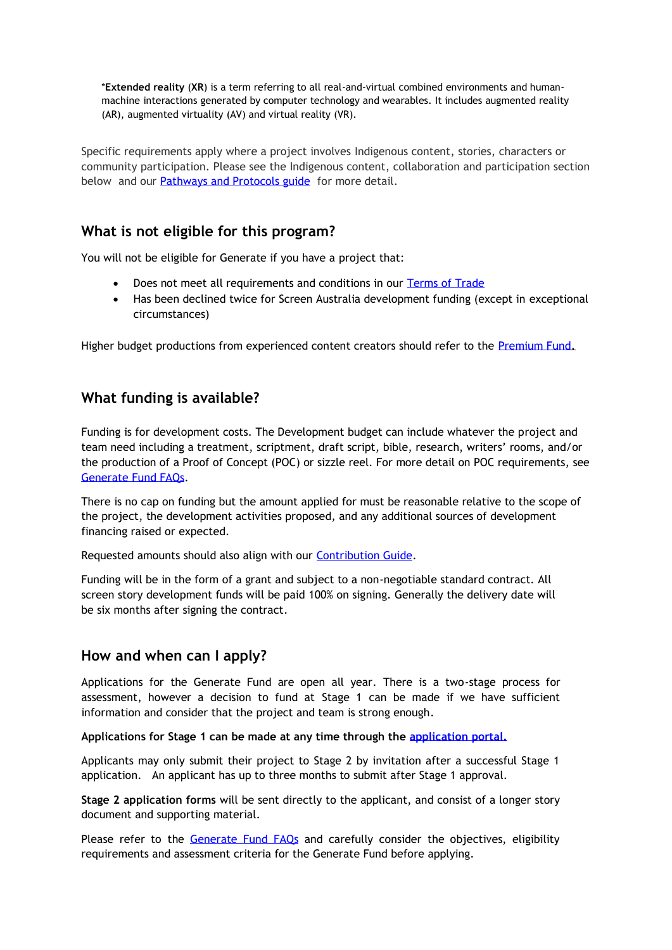\***Extended reality** (**XR**) is a term referring to all real-and-virtual combined environments and humanmachine interactions generated by computer technology and wearables. It includes augmented reality (AR), augmented virtuality (AV) and virtual reality (VR).

Specific requirements apply where a project involves Indigenous content, stories, characters or community participation. Please see the Indigenous content, collaboration and participation section below and our **Pathways and Protocols guide** for more detail.

## **What is not eligible for this program?**

You will not be eligible for Generate if you have a project that:

- Does not meet all requirements and conditions in our [Terms of Trade](https://www.screenaustralia.gov.au/getmedia/2e7f34c9-1f1c-420e-a8d6-66e984ea3c92/Terms-of-trade)
- Has been declined twice for Screen Australia development funding (except in exceptional circumstances)

Higher budget productions from experienced content creators should refer to the [Premium Fund.](#page-0-0)

## **What funding is available?**

Funding is for development costs. The Development budget can include whatever the project and team need including a treatment, scriptment, draft script, bible, research, writers' rooms, and/or the production of a Proof of Concept (POC) or sizzle reel. For more detail on POC requirements, see [Generate Fund FAQs.](https://www.screenaustralia.gov.au/getmedia/0679f450-9eda-495e-a2d3-b10df2af4534/Generate-FAQs.pdf)

There is no cap on funding but the amount applied for must be reasonable relative to the scope of the project, the development activities proposed, and any additional sources of development financing raised or expected.

Requested amounts should also align with our [Contribution Guide.](https://www.screenaustralia.gov.au/getmedia/0679f450-9eda-495e-a2d3-b10df2af4534/Generate-FAQs.pdf)

Funding will be in the form of a grant and subject to a non-negotiable standard contract. All screen story development funds will be paid 100% on signing. Generally the delivery date will be six months after signing the contract.

## **How and when can I apply?**

Applications for the Generate Fund are open all year. There is a two-stage process for assessment, however a decision to fund at Stage 1 can be made if we have sufficient information and consider that the project and team is strong enough.

**Applications for Stage 1 can be made at any time through the [application portal.](https://screenaustraliafunding.smartygrants.com.au/)** 

Applicants may only submit their project to Stage 2 by invitation after a successful Stage 1 application. An applicant has up to three months to submit after Stage 1 approval.

**Stage 2 application forms** will be sent directly to the applicant, and consist of a longer story document and supporting material.

Please refer to the [Generate Fund FAQs](https://www.screenaustralia.gov.au/getmedia/0679f450-9eda-495e-a2d3-b10df2af4534/Generate-FAQs.pdf) and carefully consider the objectives, eligibility requirements and assessment criteria for the Generate Fund before applying.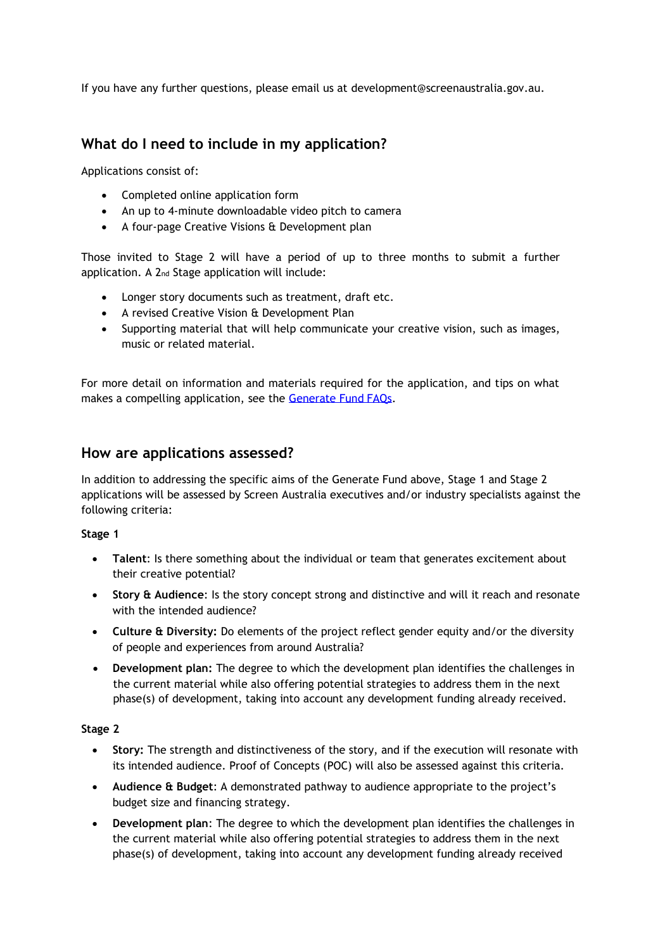If you have any further questions, please email us at [development@screenaustralia.gov.au.](mailto:development@screenaustralia.gov.au)

## **What do I need to include in my application?**

Applications consist of:

- Completed online application form
- An up to 4-minute downloadable video pitch to camera
- A four-page Creative Visions & Development plan

Those invited to Stage 2 will have a period of up to three months to submit a further application. A 2nd Stage application will include:

- Longer story documents such as treatment, draft etc.
- A revised Creative Vision & Development Plan
- Supporting material that will help communicate your creative vision, such as images, music or related material.

For more detail on information and materials required for the application, and tips on what makes a compelling application, see the [Generate Fund FAQs.](https://www.screenaustralia.gov.au/getmedia/0679f450-9eda-495e-a2d3-b10df2af4534/Generate-FAQs.pdf)

## **How are applications assessed?**

In addition to addressing the specific aims of the Generate Fund above, Stage 1 and Stage 2 applications will be assessed by Screen Australia executives and/or industry specialists against the following criteria:

#### **Stage 1**

- **Talent**: Is there something about the individual or team that generates excitement about their creative potential?
- **Story & Audience**: Is the story concept strong and distinctive and will it reach and resonate with the intended audience?
- **Culture & Diversity:** Do elements of the project reflect gender equity and/or the diversity of people and experiences from around Australia?
- **Development plan:** The degree to which the development plan identifies the challenges in the current material while also offering potential strategies to address them in the next phase(s) of development, taking into account any development funding already received.

#### **Stage 2**

- **Story:** The strength and distinctiveness of the story, and if the execution will resonate with its intended audience. Proof of Concepts (POC) will also be assessed against this criteria.
- **Audience & Budget**: A demonstrated pathway to audience appropriate to the project's budget size and financing strategy.
- **Development plan**: The degree to which the development plan identifies the challenges in the current material while also offering potential strategies to address them in the next phase(s) of development, taking into account any development funding already received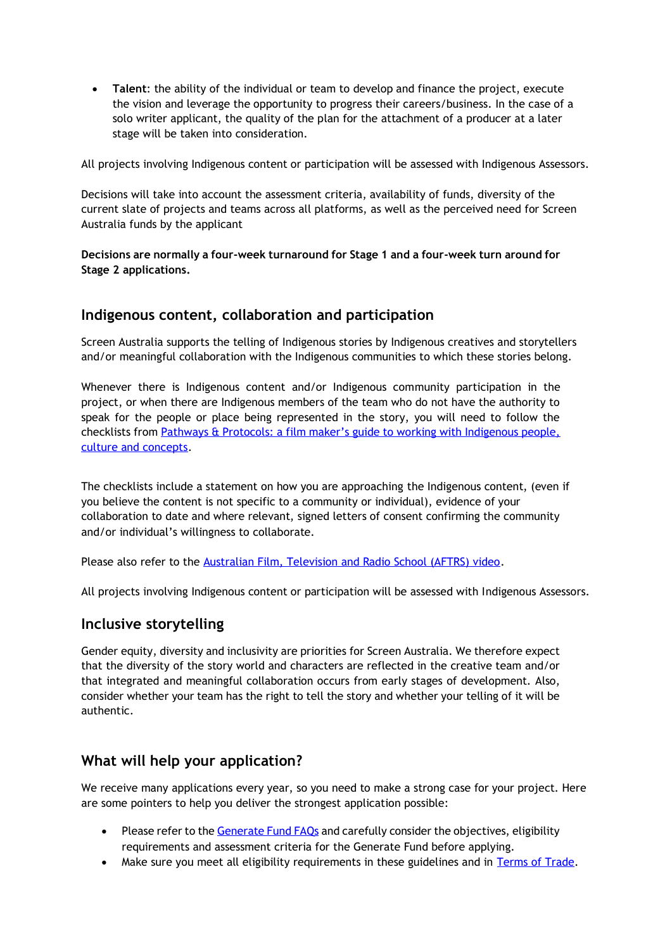• **Talent**: the ability of the individual or team to develop and finance the project, execute the vision and leverage the opportunity to progress their careers/business. In the case of a solo writer applicant, the quality of the plan for the attachment of a producer at a later stage will be taken into consideration.

All projects involving Indigenous content or participation will be assessed with Indigenous Assessors.

Decisions will take into account the assessment criteria, availability of funds, diversity of the current slate of projects and teams across all platforms, as well as the perceived need for Screen Australia funds by the applicant

**Decisions are normally a four-week turnaround for Stage 1 and a four-week turn around for Stage 2 applications.**

### **Indigenous content, collaboration and participation**

Screen Australia supports the telling of Indigenous stories by Indigenous creatives and storytellers and/or meaningful collaboration with the Indigenous communities to which these stories belong.

Whenever there is Indigenous content and/or Indigenous community participation in the project, or when there are Indigenous members of the team who do not have the authority to speak for the people or place being represented in the story, you will need to follow the checklists from [Pathways & Protocols: a film maker's guide to working with Indigenous people,](https://www.screenaustralia.gov.au/getmedia/16e5ade3-bbca-4db2-a433-94bcd4c45434/Pathways-and-Protocols.pdf)  [culture and concepts.](https://www.screenaustralia.gov.au/getmedia/16e5ade3-bbca-4db2-a433-94bcd4c45434/Pathways-and-Protocols.pdf)

The checklists include a statement on how you are approaching the Indigenous content, (even if you believe the content is not specific to a community or individual), evidence of your collaboration to date and where relevant, signed letters of consent confirming the community and/or individual's willingness to collaborate.

Please also refer to the [Australian Film, Television and Radio School \(AFTRS\) video.](https://www.aftrs.edu.au/about/aftrs-indigenous/consultation/)

All projects involving Indigenous content or participation will be assessed with Indigenous Assessors.

## **Inclusive storytelling**

Gender equity, diversity and inclusivity are priorities for Screen Australia. We therefore expect that the diversity of the story world and characters are reflected in the creative team and/or that integrated and meaningful collaboration occurs from early stages of development. Also, consider whether your team has the right to tell the story and whether your telling of it will be authentic.

## **What will help your application?**

We receive many applications every year, so you need to make a strong case for your project. Here are some pointers to help you deliver the strongest application possible:

- Please refer to th[e Generate Fund FAQs](https://www.screenaustralia.gov.au/getmedia/0679f450-9eda-495e-a2d3-b10df2af4534/Generate-FAQs.pdf) and carefully consider the objectives, eligibility requirements and assessment criteria for the Generate Fund before applying.
- Make sure you meet all eligibility requirements in these guidelines and in [Terms of Trade.](https://www.screenaustralia.gov.au/getmedia/2e7f34c9-1f1c-420e-a8d6-66e984ea3c92/Terms-of-trade)